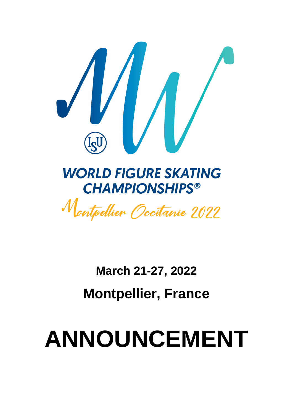

**March 21-27, 2022 Montpellier, France**

# **ANNOUNCEMENT**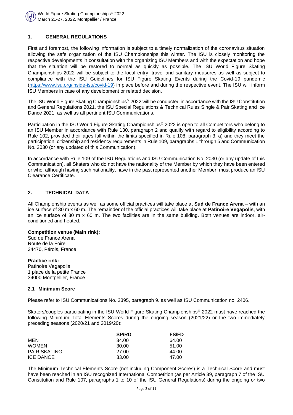

## **1. GENERAL REGULATIONS**

First and foremost, the following information is subject to a timely normalization of the coronavirus situation allowing the safe organization of the ISU Championships this winter. The ISU is closely monitoring the respective developments in consultation with the organizing ISU Members and with the expectation and hope that the situation will be restored to normal as quickly as possible. The ISU World Figure Skating Championships 2022 will be subject to the local entry, travel and sanitary measures as well as subject to compliance with the ISU Guidelines for ISU Figure Skating Events during the Covid-19 pandemic [\(https://www.isu.org/inside-isu/covid-19\)](https://www.isu.org/inside-isu/covid-19) in place before and during the respective event. The ISU will inform ISU Members in case of any development or related decision.

The ISU World Figure Skating Championships<sup>®</sup> 2022 will be conducted in accordance with the ISU Constitution and General Regulations 2021, the ISU Special Regulations & Technical Rules Single & Pair Skating and Ice Dance 2021, as well as all pertinent ISU Communications.

Participation in the ISU World Figure Skating Championships® 2022 is open to all Competitors who belong to an ISU Member in accordance with Rule 130, paragraph 2 and qualify with regard to eligibility according to Rule 102, provided their ages fall within the limits specified in Rule 108, paragraph 3. a) and they meet the participation, citizenship and residency requirements in Rule 109, paragraphs 1 through 5 and Communication No. 2030 (or any updated of this Communication).

In accordance with Rule 109 of the ISU Regulations and ISU Communication No. 2030 (or any update of this Communication), all Skaters who do not have the nationality of the Member by which they have been entered or who, although having such nationality, have in the past represented another Member, must produce an ISU Clearance Certificate.

# **2. TECHNICAL DATA**

All Championship events as well as some official practices will take place at **Sud de France Arena** – with an ice surface of 30 m x 60 m. The remainder of the official practices will take place at **Patinoire Vegapolis**, with an ice surface of 30 m x 60 m. The two facilities are in the same building. Both venues are indoor, airconditioned and heated.

#### **Competition venue (Main rink):**

Sud de France Arena Route de la Foire 34470, Pérols, France

#### **Practice rink:**

Patinoire Vegapolis 1 place de la petite France 34000 Montpellier, France

## **2.1 Minimum Score**

Please refer to ISU Communications No. 2395, paragraph 9. as well as ISU Communication no. 2406.

Skaters/couples participating in the ISU World Figure Skating Championships<sup>®</sup> 2022 must have reached the following Minimum Total Elements Scores during the ongoing season (2021/22) or the two immediately preceding seasons (2020/21 and 2019/20):

|                     | <b>SP/RD</b> | <b>FS/FD</b> |
|---------------------|--------------|--------------|
| MEN                 | 34.00        | 64.00        |
| <b>WOMEN</b>        | 30.00        | 51.00        |
| <b>PAIR SKATING</b> | 27.00        | 44.00        |
| ICE DANCE           | 33.00        | 47.00        |

The Minimum Technical Elements Score (not including Component Scores) is a Technical Score and must have been reached in an ISU recognized International Competition (as per Article 39, paragraph 7 of the ISU Constitution and Rule 107, paragraphs 1 to 10 of the ISU General Regulations) during the ongoing or two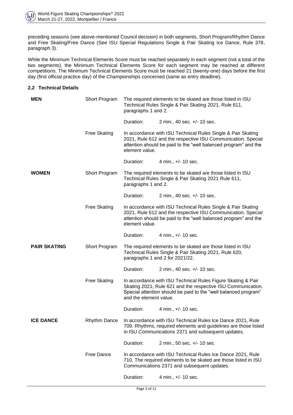preceding seasons (see above-mentioned Council decision) in both segments, Short Program/Rhythm Dance and Free Skating/Free Dance (See ISU Special Regulations Single & Pair Skating Ice Dance, Rule 378, paragraph 3).

While the Minimum Technical Elements Score must be reached separately in each segment (not a total of the two segments), the Minimum Technical Elements Score for each segment may be reached at different competitions. The Minimum Technical Elements Score must be reached 21 (twenty-one) days before the first day (first official practice day) of the Championships concerned (same as entry deadline).

## **2.2 Technical Details**

| <b>MEN</b>          | Short Program       | The required elements to be skated are those listed in ISU<br>Technical Rules Single & Pair Skating 2021, Rule 611,<br>paragraphs 1 and 2.                                                                                |                             |  |  |
|---------------------|---------------------|---------------------------------------------------------------------------------------------------------------------------------------------------------------------------------------------------------------------------|-----------------------------|--|--|
|                     |                     | Duration:                                                                                                                                                                                                                 | 2 min., 40 sec. +/- 10 sec. |  |  |
|                     | <b>Free Skating</b> | In accordance with ISU Technical Rules Single & Pair Skating<br>2021, Rule 612 and the respective ISU Communication. Special<br>attention should be paid to the "well balanced program" and the<br>element value.         |                             |  |  |
|                     |                     | Duration:                                                                                                                                                                                                                 | 4 min., +/- 10 sec.         |  |  |
| <b>WOMEN</b>        | Short Program       | The required elements to be skated are those listed in ISU<br>Technical Rules Single & Pair Skating 2021 Rule 611,<br>paragraphs 1 and 2.                                                                                 |                             |  |  |
|                     |                     | Duration:                                                                                                                                                                                                                 | 2 min., 40 sec. +/- 10 sec. |  |  |
|                     | <b>Free Skating</b> | In accordance with ISU Technical Rules Single & Pair Skating<br>2021, Rule 612 and the respective ISU Communication. Special<br>attention should be paid to the "well balanced program" and the<br>element value.         |                             |  |  |
|                     |                     | Duration:                                                                                                                                                                                                                 | 4 min., +/- 10 sec.         |  |  |
| <b>PAIR SKATING</b> | Short Program       | The required elements to be skated are those listed in ISU<br>Technical Rules Single & Pair Skating 2021, Rule 620,<br>paragraphs 1 and 2 for 2021/22.                                                                    |                             |  |  |
|                     |                     | Duration:                                                                                                                                                                                                                 | 2 min., 40 sec. +/- 10 sec. |  |  |
|                     | <b>Free Skating</b> | In accordance with ISU Technical Rules Figure Skating & Pair<br>Skating 2021, Rule 621 and the respective ISU Communication.<br>Special attention should be paid to the "well balanced program"<br>and the element value. |                             |  |  |
|                     |                     | Duration:                                                                                                                                                                                                                 | 4 min., +/- 10 sec.         |  |  |
| <b>ICE DANCE</b>    | <b>Rhythm Dance</b> | In accordance with ISU Technical Rules Ice Dance 2021, Rule<br>709. Rhythms, required elements and guidelines are those listed<br>in ISU Communications 2371 and subsequent updates.                                      |                             |  |  |
|                     |                     | Duration:                                                                                                                                                                                                                 | 2 min., 50 sec. +/- 10 sec  |  |  |
|                     | <b>Free Dance</b>   | In accordance with ISU Technical Rules Ice Dance 2021, Rule<br>710. The required elements to be skated are those listed in ISU<br>Communications 2371 and subsequent updates.                                             |                             |  |  |
|                     |                     | Duration:                                                                                                                                                                                                                 | 4 min., +/- 10 sec.         |  |  |
|                     |                     |                                                                                                                                                                                                                           |                             |  |  |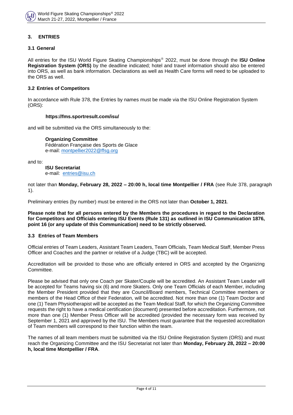### **3. ENTRIES**

# **3.1 General**

All entries for the ISU World Figure Skating Championships 2022, must be done through the **ISU Online Registration System (ORS)** by the deadline indicated; hotel and travel information should also be entered into ORS, as well as bank information. Declarations as well as Health Care forms will need to be uploaded to the ORS as well.

#### **3.2 Entries of Competitors**

In accordance with Rule 378, the Entries by names must be made via the ISU Online Registration System (ORS):

#### **<https://fms.sportresult.com/isu/>**

and will be submitted via the ORS simultaneously to the:

#### **Organizing Committee**

Fédération Française des Sports de Glace e-mail: [montpellier2022@ffsg.org](mailto:montpellier2022@ffsg.org)

and to:

**ISU Secretariat** e-mail: [entries@isu.ch](mailto:entries@isu.ch)

not later than **Monday, February 28, 2022 – 20:00 h, local time Montpellier / FRA** (see Rule 378, paragraph 1).

Preliminary entries (by number) must be entered in the ORS not later than **October 1, 2021**.

**Please note that for all persons entered by the Members the procedures in regard to the Declaration for Competitors and Officials entering ISU Events (Rule 131) as outlined in ISU Communication 1876, point 16 (or any update of this Communication) need to be strictly observed.** 

# **3.3 Entries of Team Members**

Official entries of Team Leaders, Assistant Team Leaders, Team Officials, Team Medical Staff, Member Press Officer and Coaches and the partner or relative of a Judge (TBC) will be accepted.

Accreditation will be provided to those who are officially entered in ORS and accepted by the Organizing Committee.

Please be advised that only one Coach per Skater/Couple will be accredited. An Assistant Team Leader will be accepted for Teams having six (6) and more Skaters. Only one Team Officials of each Member, including the Member President provided that they are Council/Board members, Technical Committee members or members of the Head Office of their Federation, will be accredited. Not more than one (1) Team Doctor and one (1) Team Physiotherapist will be accepted as the Team Medical Staff, for which the Organizing Committee requests the right to have a medical certification (document) presented before accreditation. Furthermore, not more than one (1) Member Press Officer will be accredited (provided the necessary form was received by September 1, 2021 and approved by the ISU. The Members must guarantee that the requested accreditation of Team members will correspond to their function within the team.

The names of all team members must be submitted via the ISU Online Registration System (ORS) and must reach the Organizing Committee and the ISU Secretariat not later than **Monday, February 28, 2022 – 20:00 h, local time Montpellier / FRA**.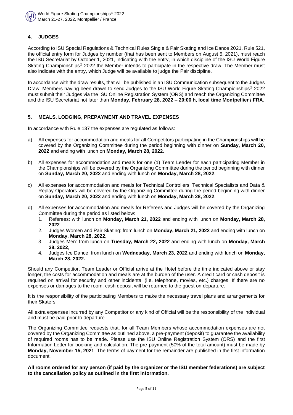# **4. JUDGES**

According to ISU Special Regulations & Technical Rules Single & Pair Skating and Ice Dance 2021, Rule 521, the official entry form for Judges by number (that has been sent to Members on August 5, 2021), must reach the ISU Secretariat by October 1, 2021, indicating with the entry, in which discipline of the ISU World Figure Skating Championships® 2022 the Member intends to participate in the respective draw. The Member must also indicate with the entry, which Judge will be available to judge the Pair discipline.

In accordance with the draw results, that will be published in an ISU Communication subsequent to the Judges Draw, Members having been drawn to send Judges to the ISU World Figure Skating Championships<sup>®</sup> 2022 must submit their Judges via the ISU Online Registration System (ORS) and reach the Organizing Committee and the ISU Secretariat not later than **Monday, February 28, 2022 – 20:00 h, local time Montpellier / FRA**.

## **5. MEALS, LODGING, PREPAYMENT AND TRAVEL EXPENSES**

In accordance with Rule 137 the expenses are regulated as follows:

- a) All expenses for accommodation and meals for all Competitors participating in the Championships will be covered by the Organizing Committee during the period beginning with dinner on **Sunday, March 20, 2022** and ending with lunch on **Monday, March 28, 2022**.
- b) All expenses for accommodation and meals for one (1) Team Leader for each participating Member in the Championships will be covered by the Organizing Committee during the period beginning with dinner on **Sunday, March 20, 2022** and ending with lunch on **Monday, March 28, 2022**.
- c) All expenses for accommodation and meals for Technical Controllers, Technical Specialists and Data & Replay Operators will be covered by the Organizing Committee during the period beginning with dinner on **Sunday, March 20, 2022** and ending with lunch on **Monday, March 28, 2022**.
- d) All expenses for accommodation and meals for Referees and Judges will be covered by the Organizing Committee during the period as listed below:
	- 1. Referees: with lunch on **Monday, March 21, 2022** and ending with lunch on **Monday, March 28, 2022**
	- 2. Judges Women and Pair Skating: from lunch on **Monday, March 21, 2022** and ending with lunch on **Monday, March 28, 2022**,
	- 3. Judges Men: from lunch on **Tuesday, March 22, 2022** and ending with lunch on **Monday, March 28, 2022**,
	- 4. Judges Ice Dance: from lunch on **Wednesday, March 23, 2022** and ending with lunch on **Monday, March 28, 2022.**

Should any Competitor, Team Leader or Official arrive at the Hotel before the time indicated above or stay longer, the costs for accommodation and meals are at the burden of the user. A credit card or cash deposit is required on arrival for security and other incidental (i.e. telephone, movies, etc.) charges. If there are no expenses or damages to the room, cash deposit will be returned to the guest on departure.

It is the responsibility of the participating Members to make the necessary travel plans and arrangements for their Skaters.

All extra expenses incurred by any Competitor or any kind of Official will be the responsibility of the individual and must be paid prior to departure.

The Organizing Committee requests that, for all Team Members whose accommodation expenses are not covered by the Organizing Committee as outlined above, a pre-payment (deposit) to guarantee the availability of required rooms has to be made. Please use the ISU Online Registration System (ORS) and the first Information Letter for booking and calculation. The pre-payment (50% of the total amount) must be made by **Monday, November 15, 2021**. The terms of payment for the remainder are published in the first information document.

**All rooms ordered for any person (if paid by the organizer or the ISU member federations) are subject to the cancellation policy as outlined in the first information.**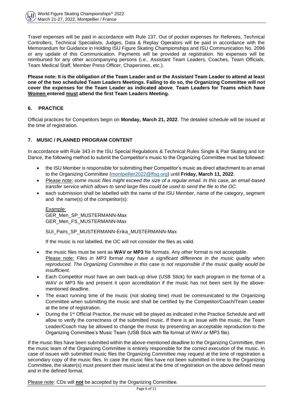

Travel expenses will be paid in accordance with Rule 137. Out of pocket expenses for Referees, Technical Controllers, Technical Specialists, Judges, Data & Replay Operators will be paid in accordance with the Memorandum for Guidance in Holding ISU Figure Skating Championships and ISU Communication No. 2096 or any update of this Communication. Payments will be provided at registration. No expenses will be reimbursed for any other accompanying persons (i.e., Assistant Team Leaders, Coaches, Team Officials, Team Medical Staff, Member Press Officer, Chaperones, etc.).

**Please note: It is the obligation of the Team Leader and or the Assistant Team Leader to attend at least one of the two scheduled Team Leaders Meetings. Failing to do so, the Organizing Committee will not cover the expenses for the Team Leader as indicated above**. **Team Leaders for Teams which have Women entered must attend the first Team Leaders Meeting.**

# **6. PRACTICE**

Official practices for Competitors begin on **Monday, March 21, 2022**. The detailed schedule will be issued at the time of registration.

# **7. MUSIC / PLANNED PROGRAM CONTENT**

In accordance with Rule 343 in the ISU Special Regulations & Technical Rules Single & Pair Skating and Ice Dance, the following method to submit the Competitor's music to the Organizing Committee must be followed:

- the ISU Member is responsible for submitting their Competitor's music as direct attachment to an email to the Organizing Committee [\(montpellier2022@ffsg.org\)](mailto:montpellier2022@ffsg.org) until **Friday, March 11, 2022**.
- Please note: *some music files might exceed the size of a regular email. In this case, an email-based transfer service which allows to send large files could be used to send the file to the OC.*
- each submission shall be labelled with the name of the ISU Member, name of the category, segment and the name(s) of the competitor(s):

Example: GER\_Men\_SP\_MUSTERMANN-Max GER Men FS MUSTERMANN-Max

SUI\_Pairs\_SP\_MUSTERMANN-Erika\_MUSTERMANN-Max

If the music is not labelled, the OC will not consider the files as valid.

- the music files must be sent as **WAV or MP3** file formats. Any other format is not acceptable. Please note: *Files in MP3 format may have a significant difference in the music quality when reproduced. The Organizing Committee in this case is not responsible if the music quality would be insufficient.*
- Each Competitor must have an own back-up drive (USB Stick) for each program in the format of a WAV or MP3 file and present it upon accreditation if the music has not been sent by the abovementioned deadline.
- The exact running time of the music (not skating time) must be communicated to the Organizing Committee when submitting the music and shall be certified by the Competitor/Coach/Team Leader at the time of registration.
- During the 1<sup>st</sup> Official Practice, the music will be played as indicated in the Practice Schedule and will allow to verify the correctness of the submitted music. If there is an issue with the music, the Team Leader/Coach may be allowed to change the music by presenting an acceptable reproduction to the Organizing Committee's Music Team (USB Stick with file format of WAV or MP3 file).

If the music files have been submitted within the above-mentioned deadline to the Organizing Committee, then the music team of the Organizing Committee is entirely responsible for the correct execution of the music. In case of issues with submitted music files the Organizing Committee may request at the time of registration a secondary copy of the music files. In case the music files have not been submitted in time to the Organizing Committee, the skater(s) must present their music latest at the time of registration on the above defined mean and in the defined format.

Please note: CDs will **not** be accepted by the Organizing Committee.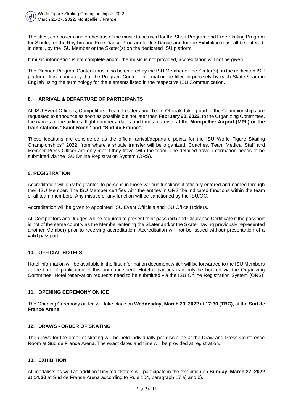

The titles, composers and orchestras of the music to be used for the Short Program and Free Skating Program for Single, for the Rhythm and Free Dance Program for Ice Dance and for the Exhibition must all be entered, in detail, by the ISU Member or the Skater(s) on the dedicated ISU platform.

If music information is not complete and/or the music is not provided, accreditation will not be given.

The Planned Program Content must also be entered by the ISU Member or the Skater(s) on the dedicated ISU platform. It is mandatory that the Program Content information be filled in precisely by each Skater/team in English using the terminology for the elements listed in the respective ISU Communication.

## **8. ARRIVAL & DEPARTURE OF PARTICIPANTS**

All ISU Event Officials, Competitors, Team Leaders and Team Officials taking part in the Championships are requested to announce as soon as possible but not later than **February 28, 2022**, to the Organizing Committee, the names of the airlines, flight numbers, dates and times of arrival at the **Montpellier Airport (MPL) or the train stations "Saint-Roch" and "Sud de France".**

These locations are considered as the official arrival/departure points for the ISU World Figure Skating Championships<sup>®</sup> 2022, from where a shuttle transfer will be organized. Coaches, Team Medical Staff and Member Press Officer are only met if they travel with the team. The detailed travel information needs to be submitted via the ISU Online Registration System (ORS).

## **9. REGISTRATION**

Accreditation will only be granted to persons in those various functions if officially entered and named through their ISU Member. The ISU Member certifies with the entries in ORS the indicated functions within the team of all team members. Any misuse of any function will be sanctioned by the ISU/OC.

Accreditation will be given to appointed ISU Event Officials and ISU Office Holders.

All Competitors and Judges will be required to present their passport (and Clearance Certificate if the passport is not of the same country as the Member entering the Skater and/or the Skater having previously represented another Member) prior to receiving accreditation. Accreditation will not be issued without presentation of a valid passport.

#### **10. OFFICIAL HOTELS**

Hotel information will be available in the first information document which will be forwarded to the ISU Members at the time of publication of this announcement. Hotel capacities can only be booked via the Organizing Committee. Hotel reservation requests need to be submitted via the ISU Online Registration System (ORS).

## **11. OPENING CEREMONY ON ICE**

The Opening Ceremony on Ice will take place on **Wednesday, March 23, 2022** at **17:30 (TBC)**, at the **Sud de France Arena**.

## **12. DRAWS - ORDER OF SKATING**

The draws for the order of skating will be held individually per discipline at the Draw and Press Conference Room at Sud de France Arena. The exact dates and time will be provided at registration.

## **13. EXHIBITION**

All medalists as well as additional invited skaters will participate in the exhibition on **Sunday, March 27, 2022 at 14:30** at Sud de France Arena according to Rule 104, paragraph 17 a) and b).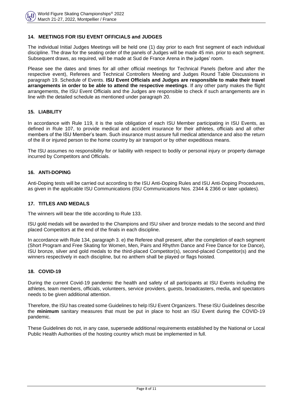## **14. MEETINGS FOR ISU EVENT OFFICIALS and JUDGES**

The individual Initial Judges Meetings will be held one (1) day prior to each first segment of each individual discipline. The draw for the seating order of the panels of Judges will be made 45 min. prior to each segment. Subsequent draws, as required, will be made at Sud de France Arena in the judges' room.

Please see the dates and times for all other official meetings for Technical Panels (before and after the respective event), Referees and Technical Controllers Meeting and Judges Round Table Discussions in paragraph 19. Schedule of Events. **ISU Event Officials and Judges are responsible to make their travel arrangements in order to be able to attend the respective meetings**. If any other party makes the flight arrangements, the ISU Event Officials and the Judges are responsible to check if such arrangements are in line with the detailed schedule as mentioned under paragraph 20.

## **15. LIABILITY**

In accordance with Rule 119, it is the sole obligation of each ISU Member participating in ISU Events, as defined in Rule 107, to provide medical and accident insurance for their athletes, officials and all other members of the ISU Member's team. Such insurance must assure full medical attendance and also the return of the ill or injured person to the home country by air transport or by other expeditious means.

The ISU assumes no responsibility for or liability with respect to bodily or personal injury or property damage incurred by Competitors and Officials.

#### **16. ANTI-DOPING**

Anti-Doping tests will be carried out according to the ISU Anti-Doping Rules and ISU Anti-Doping Procedures, as given in the applicable ISU Communications (ISU Communications Nos. 2344 & 2366 or later updates).

#### **17. TITLES AND MEDALS**

The winners will bear the title according to Rule 133.

ISU gold medals will be awarded to the Champions and ISU silver and bronze medals to the second and third placed Competitors at the end of the finals in each discipline.

In accordance with Rule 134, paragraph 3. e) the Referee shall present, after the completion of each segment (Short Program and Free Skating for Women, Men, Pairs and Rhythm Dance and Free Dance for Ice Dance), ISU bronze, silver and gold medals to the third-placed Competitor(s), second-placed Competitor(s) and the winners respectively in each discipline, but no anthem shall be played or flags hoisted.

## **18. COVID-19**

During the current Covid-19 pandemic the health and safety of all participants at ISU Events including the athletes, team members, officials, volunteers, service providers, guests, broadcasters, media, and spectators needs to be given additional attention.

Therefore, the ISU has created some Guidelines to help ISU Event Organizers. These ISU Guidelines describe the **minimum** sanitary measures that must be put in place to host an ISU Event during the COVID-19 pandemic.

These Guidelines do not, in any case, supersede additional requirements established by the National or Local Public Health Authorities of the hosting country which must be implemented in full.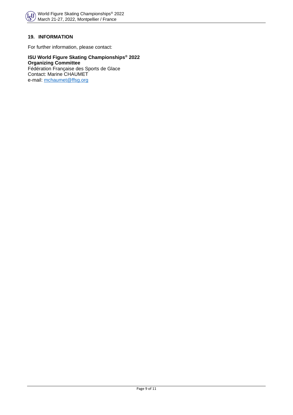

# **19. INFORMATION**

For further information, please contact:

#### **ISU World Figure Skating Championships® 2022 Organizing Committee** Fédération Franҫaise des Sports de Glace Contact: Marine CHAUMET

e-mail: [mchaumet@ffsg.org](mailto:mchaumet@ffsg.org)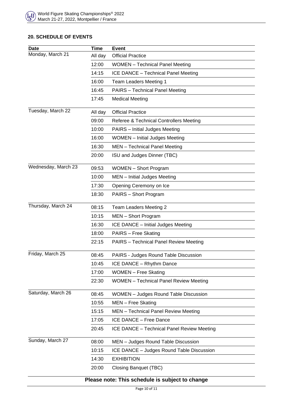# **20. SCHEDULE OF EVENTS**

| <b>Date</b>                                     | <b>Time</b> | <b>Event</b>                                  |  |  |  |
|-------------------------------------------------|-------------|-----------------------------------------------|--|--|--|
| Monday, March 21                                | All day     | <b>Official Practice</b>                      |  |  |  |
|                                                 | 12:00       | <b>WOMEN</b> - Technical Panel Meeting        |  |  |  |
|                                                 | 14:15       | ICE DANCE - Technical Panel Meeting           |  |  |  |
|                                                 | 16:00       | Team Leaders Meeting 1                        |  |  |  |
|                                                 | 16:45       | <b>PAIRS</b> – Technical Panel Meeting        |  |  |  |
|                                                 | 17:45       | <b>Medical Meeting</b>                        |  |  |  |
| Tuesday, March 22                               | All day     | <b>Official Practice</b>                      |  |  |  |
|                                                 | 09:00       | Referee & Technical Controllers Meeting       |  |  |  |
|                                                 | 10:00       | <b>PAIRS</b> - Initial Judges Meeting         |  |  |  |
|                                                 | 16:00       | <b>WOMEN</b> – Initial Judges Meeting         |  |  |  |
|                                                 | 16:30       | MEN - Technical Panel Meeting                 |  |  |  |
|                                                 | 20:00       | ISU and Judges Dinner (TBC)                   |  |  |  |
| Wednesday, March 23                             | 09:53       | <b>WOMEN</b> - Short Program                  |  |  |  |
|                                                 | 10:00       | MEN - Initial Judges Meeting                  |  |  |  |
|                                                 | 17:30       | Opening Ceremony on Ice                       |  |  |  |
|                                                 | 18:30       | PAIRS - Short Program                         |  |  |  |
| Thursday, March 24                              | 08:15       | Team Leaders Meeting 2                        |  |  |  |
|                                                 | 10:15       | MEN - Short Program                           |  |  |  |
|                                                 | 16:30       | ICE DANCE - Initial Judges Meeting            |  |  |  |
|                                                 | 18:00       | PAIRS - Free Skating                          |  |  |  |
|                                                 | 22:15       | <b>PAIRS</b> - Technical Panel Review Meeting |  |  |  |
| Friday, March 25                                | 08:45       | PAIRS - Judges Round Table Discussion         |  |  |  |
|                                                 | 10:45       | ICE DANCE - Rhythm Dance                      |  |  |  |
|                                                 | 17:00       | <b>WOMEN</b> – Free Skating                   |  |  |  |
|                                                 | 22:30       | <b>WOMEN</b> - Technical Panel Review Meeting |  |  |  |
| Saturday, March 26                              | 08:45       | <b>WOMEN</b> - Judges Round Table Discussion  |  |  |  |
|                                                 | 10:55       | MEN - Free Skating                            |  |  |  |
|                                                 | 15:15       | MEN - Technical Panel Review Meeting          |  |  |  |
|                                                 | 17:05       | ICE DANCE - Free Dance                        |  |  |  |
|                                                 | 20:45       | ICE DANCE - Technical Panel Review Meeting    |  |  |  |
| Sunday, March 27                                | 08:00       | MEN - Judges Round Table Discussion           |  |  |  |
|                                                 | 10:15       | ICE DANCE - Judges Round Table Discussion     |  |  |  |
|                                                 | 14:30       | <b>EXHIBITION</b>                             |  |  |  |
|                                                 | 20:00       | Closing Banquet (TBC)                         |  |  |  |
| Please note: This schedule is subject to change |             |                                               |  |  |  |